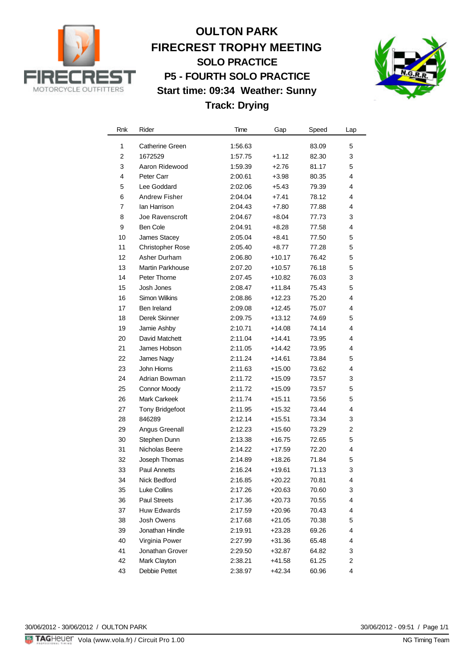

## **OULTON PARK FIRECREST TROPHY MEETING SOLO PRACTICE P5 - FOURTH SOLO PRACTICE Start time: 09:34 Weather: Sunny Track: Drying**



| Rnk            | Rider                   | Time    | Gap      | Speed | Lap |
|----------------|-------------------------|---------|----------|-------|-----|
| 1              | <b>Catherine Green</b>  | 1:56.63 |          | 83.09 | 5   |
| $\overline{2}$ | 1672529                 | 1:57.75 | $+1.12$  | 82.30 | 3   |
| 3              | Aaron Ridewood          | 1:59.39 | $+2.76$  | 81.17 | 5   |
| 4              | Peter Carr              | 2:00.61 | $+3.98$  | 80.35 | 4   |
| 5              | Lee Goddard             | 2:02.06 | $+5.43$  | 79.39 | 4   |
| 6              | Andrew Fisher           | 2:04.04 | $+7.41$  | 78.12 | 4   |
| 7              | lan Harrison            | 2:04.43 | $+7.80$  | 77.88 | 4   |
| 8              | Joe Ravenscroft         | 2:04.67 | $+8.04$  | 77.73 | 3   |
| 9              | <b>Ben Cole</b>         | 2:04.91 | $+8.28$  | 77.58 | 4   |
| 10             | <b>James Stacey</b>     | 2:05.04 | $+8.41$  | 77.50 | 5   |
| 11             | <b>Christopher Rose</b> | 2:05.40 | $+8.77$  | 77.28 | 5   |
| 12             | Asher Durham            | 2:06.80 | +10.17   | 76.42 | 5   |
| 13             | Martin Parkhouse        | 2:07.20 | $+10.57$ | 76.18 | 5   |
| 14             | Peter Thorne            | 2:07.45 | +10.82   | 76.03 | 3   |
| 15             | Josh Jones              | 2:08.47 | $+11.84$ | 75.43 | 5   |
| 16             | Simon Wilkins           | 2:08.86 | +12.23   | 75.20 | 4   |
| 17             | Ben Ireland             | 2:09.08 | +12.45   | 75.07 | 4   |
| 18             | Derek Skinner           | 2:09.75 | $+13.12$ | 74.69 | 5   |
| 19             | Jamie Ashby             | 2:10.71 | $+14.08$ | 74.14 | 4   |
| 20             | David Matchett          | 2:11.04 | $+14.41$ | 73.95 | 4   |
| 21             | James Hobson            | 2:11.05 | $+14.42$ | 73.95 | 4   |
| 22             | James Nagy              | 2:11.24 | $+14.61$ | 73.84 | 5   |
| 23             | John Hiorns             | 2:11.63 | $+15.00$ | 73.62 | 4   |
| 24             | Adrian Bowman           | 2:11.72 | $+15.09$ | 73.57 | 3   |
| 25             | <b>Connor Moody</b>     | 2:11.72 | $+15.09$ | 73.57 | 5   |
| 26             | <b>Mark Carkeek</b>     | 2:11.74 | $+15.11$ | 73.56 | 5   |
| 27             | <b>Tony Bridgefoot</b>  | 2:11.95 | $+15.32$ | 73.44 | 4   |
| 28             | 846289                  | 2:12.14 | +15.51   | 73.34 | 3   |
| 29             | Angus Greenall          | 2:12.23 | $+15.60$ | 73.29 | 2   |
| 30             | Stephen Dunn            | 2:13.38 | $+16.75$ | 72.65 | 5   |
| 31             | Nicholas Beere          | 2:14.22 | $+17.59$ | 72.20 | 4   |
| 32             | Joseph Thomas           | 2:14.89 | $+18.26$ | 71.84 | 5   |
| 33             | <b>Paul Annetts</b>     | 2:16.24 | $+19.61$ | 71.13 | 3   |
| 34             | Nick Bedford            | 2:16.85 | $+20.22$ | 70.81 | 4   |
| 35             | <b>Luke Collins</b>     | 2:17.26 | $+20.63$ | 70.60 | 3   |
| 36             | <b>Paul Streets</b>     | 2:17.36 | $+20.73$ | 70.55 | 4   |
| 37             | <b>Huw Edwards</b>      | 2:17.59 | +20.96   | 70.43 | 4   |
| 38             | Josh Owens              | 2:17.68 | $+21.05$ | 70.38 | 5   |
| 39             | Jonathan Hindle         | 2:19.91 | +23.28   | 69.26 | 4   |
| 40             | Virginia Power          | 2:27.99 | $+31.36$ | 65.48 | 4   |
| 41             | Jonathan Grover         | 2:29.50 | +32.87   | 64.82 | 3   |
| 42             | Mark Clayton            | 2:38.21 | $+41.58$ | 61.25 | 2   |
| 43             | Debbie Pettet           | 2:38.97 | +42.34   | 60.96 | 4   |

30/06/2012 - 09:51 / Page 1/1<br>NG Timing Team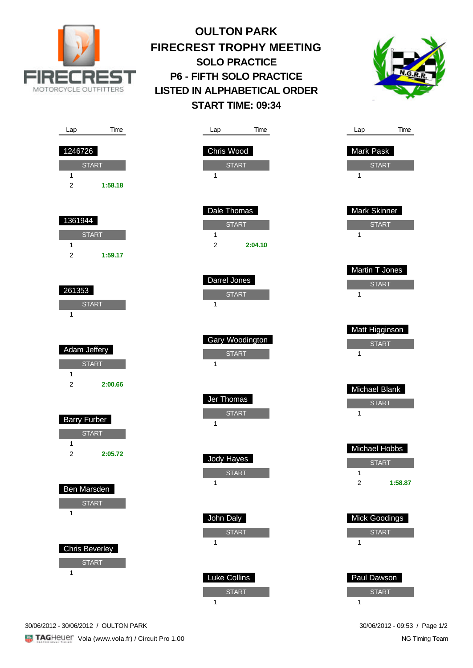

## **OULTON PARK FIRECREST TROPHY MEETING SOLO PRACTICE P6 - FIFTH SOLO PRACTICE LISTED IN ALPHABETICAL ORDER START TIME: 09:34**



| Time<br>Lap                               | Time<br>Lap                                    | Time<br>Lap                    |
|-------------------------------------------|------------------------------------------------|--------------------------------|
| 1246726                                   | Chris Wood                                     | <b>Mark Pask</b>               |
| <b>START</b><br>1                         | <b>START</b><br>1                              | <b>START</b><br>1              |
| $\overline{c}$<br>1:58.18                 |                                                |                                |
| 1361944                                   | Dale Thomas                                    | Mark Skinner                   |
| <b>START</b>                              | <b>START</b><br>$\mathbf{1}$<br>$\overline{2}$ | <b>START</b><br>$\mathbf{1}$   |
| $\mathbf{1}$<br>$\overline{2}$<br>1:59.17 | 2:04.10                                        |                                |
|                                           | Darrel Jones                                   | Martin T Jones<br><b>START</b> |
| 261353<br><b>START</b>                    | <b>START</b><br>$\mathbf{1}$                   | 1                              |
| $\mathbf{1}$                              |                                                | Matt Higginson                 |
| Adam Jeffery                              | Gary Woodington                                | <b>START</b>                   |
| <b>START</b>                              | <b>START</b><br>$\mathbf{1}$                   | $\mathbf{1}$                   |
| 1<br>$\overline{c}$<br>2:00.66            |                                                | Michael Blank                  |
|                                           | Jer Thomas<br><b>START</b>                     | <b>START</b><br>1              |
| <b>Barry Furber</b><br><b>START</b>       | $\mathbf{1}$                                   |                                |
| $\mathbf{1}$<br>$\overline{c}$<br>2:05.72 |                                                | Michael Hobbs                  |
|                                           | Jody Hayes<br><b>START</b>                     | <b>START</b><br>$\mathbf{1}$   |
| Ben Marsden                               | $\mathbf 1$                                    | $\overline{2}$<br>1:58.87      |
| <b>START</b><br>1                         | John Daly                                      | <b>Mick Goodings</b>           |
|                                           | <b>START</b><br>$\mathbf{1}$                   | <b>START</b><br>1              |
| <b>Chris Beverley</b><br><b>START</b>     |                                                |                                |
| $\mathbf{1}$                              | <b>Luke Collins</b>                            | Paul Dawson                    |
|                                           | <b>START</b><br>$\mathbf{1}$                   | <b>START</b><br>$\mathbf{1}$   |

30/06/2012 - 30/06/2012 / OULTON PARK 30/06/2012 - 09:53 / Page 1/2

NG Timing Team